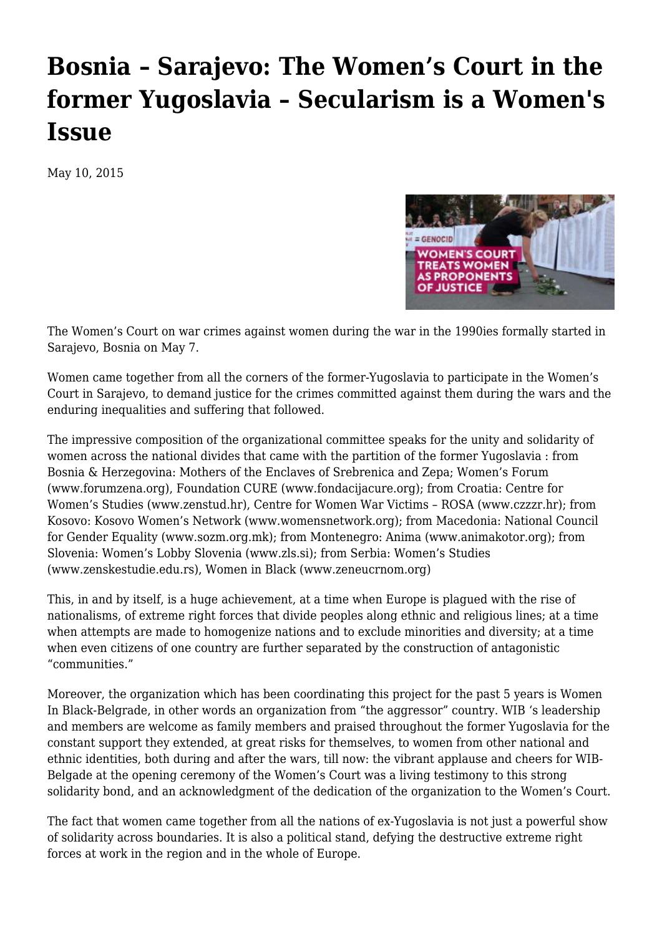## **[Bosnia – Sarajevo: The Women's Court in the](https://newpol.org/bosnia-sarajevo-womens-court-former-yugoslavia-secularism-womens-issue/) [former Yugoslavia – Secularism is a Women's](https://newpol.org/bosnia-sarajevo-womens-court-former-yugoslavia-secularism-womens-issue/) [Issue](https://newpol.org/bosnia-sarajevo-womens-court-former-yugoslavia-secularism-womens-issue/)**

May 10, 2015



The Women's Court on war crimes against women during the war in the 1990ies formally started in Sarajevo, Bosnia on May 7.

Women came together from all the corners of the former-Yugoslavia to participate in the Women's Court in Sarajevo, to demand justice for the crimes committed against them during the wars and the enduring inequalities and suffering that followed.

The impressive composition of the organizational committee speaks for the unity and solidarity of women across the national divides that came with the partition of the former Yugoslavia : from Bosnia & Herzegovina: Mothers of the Enclaves of Srebrenica and Zepa; Women's Forum [\(www.forumzena.org\)](http://www.forumzena.org/), Foundation CURE ([www.fondacijacure.org\)](http://www.fondacijacure.org/); from Croatia: Centre for Women's Studies [\(www.zenstud.hr](http://www.zenstud.hr/)), Centre for Women War Victims – ROSA [\(www.czzzr.hr](http://www.czzzr.hr/)); from Kosovo: Kosovo Women's Network ([www.womensnetwork.org\)](http://www.womensnetwork.org/); from Macedonia: National Council for Gender Equality ([www.sozm.org.mk\)](http://www.sozm.org.mk/); from Montenegro: Anima [\(www.animakotor.org](http://www.animakotor.org/)); from Slovenia: Women's Lobby Slovenia ([www.zls.si](http://www.zls.si/)); from Serbia: Women's Studies [\(www.zenskestudie.edu.rs\)](http://www.zenskestudie.edu.rs/), Women in Black [\(www.zeneucrnom.org\)](http://www.zeneucrnom.org/)

This, in and by itself, is a huge achievement, at a time when Europe is plagued with the rise of nationalisms, of extreme right forces that divide peoples along ethnic and religious lines; at a time when attempts are made to homogenize nations and to exclude minorities and diversity; at a time when even citizens of one country are further separated by the construction of antagonistic "communities."

Moreover, the organization which has been coordinating this project for the past 5 years is Women In Black-Belgrade, in other words an organization from "the aggressor" country. WIB 's leadership and members are welcome as family members and praised throughout the former Yugoslavia for the constant support they extended, at great risks for themselves, to women from other national and ethnic identities, both during and after the wars, till now: the vibrant applause and cheers for WIB-Belgade at the opening ceremony of the Women's Court was a living testimony to this strong solidarity bond, and an acknowledgment of the dedication of the organization to the Women's Court.

The fact that women came together from all the nations of ex-Yugoslavia is not just a powerful show of solidarity across boundaries. It is also a political stand, defying the destructive extreme right forces at work in the region and in the whole of Europe.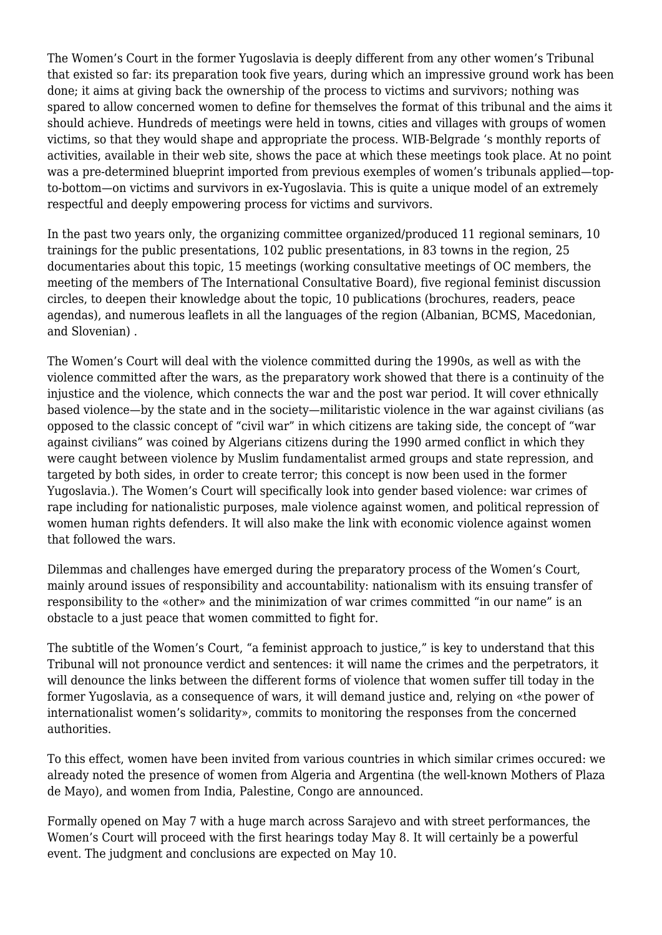The Women's Court in the former Yugoslavia is deeply different from any other women's Tribunal that existed so far: its preparation took five years, during which an impressive ground work has been done; it aims at giving back the ownership of the process to victims and survivors; nothing was spared to allow concerned women to define for themselves the format of this tribunal and the aims it should achieve. Hundreds of meetings were held in towns, cities and villages with groups of women victims, so that they would shape and appropriate the process. WIB-Belgrade 's monthly reports of activities, available in their web site, shows the pace at which these meetings took place. At no point was a pre-determined blueprint imported from previous exemples of women's tribunals applied—topto-bottom—on victims and survivors in ex-Yugoslavia. This is quite a unique model of an extremely respectful and deeply empowering process for victims and survivors.

In the past two years only, the organizing committee organized/produced 11 regional seminars, 10 trainings for the public presentations, 102 public presentations, in 83 towns in the region, 25 documentaries about this topic, 15 meetings (working consultative meetings of OC members, the meeting of the members of The International Consultative Board), five regional feminist discussion circles, to deepen their knowledge about the topic, 10 publications (brochures, readers, peace agendas), and numerous leaflets in all the languages of the region (Albanian, BCMS, Macedonian, and Slovenian) .

The Women's Court will deal with the violence committed during the 1990s, as well as with the violence committed after the wars, as the preparatory work showed that there is a continuity of the injustice and the violence, which connects the war and the post war period. It will cover ethnically based violence—by the state and in the society—militaristic violence in the war against civilians (as opposed to the classic concept of "civil war" in which citizens are taking side, the concept of "war against civilians" was coined by Algerians citizens during the 1990 armed conflict in which they were caught between violence by Muslim fundamentalist armed groups and state repression, and targeted by both sides, in order to create terror; this concept is now been used in the former Yugoslavia.). The Women's Court will specifically look into gender based violence: war crimes of rape including for nationalistic purposes, male violence against women, and political repression of women human rights defenders. It will also make the link with economic violence against women that followed the wars.

Dilemmas and challenges have emerged during the preparatory process of the Women's Court, mainly around issues of responsibility and accountability: nationalism with its ensuing transfer of responsibility to the «other» and the minimization of war crimes committed "in our name" is an obstacle to a just peace that women committed to fight for.

The subtitle of the Women's Court, "a feminist approach to justice," is key to understand that this Tribunal will not pronounce verdict and sentences: it will name the crimes and the perpetrators, it will denounce the links between the different forms of violence that women suffer till today in the former Yugoslavia, as a consequence of wars, it will demand justice and, relying on «the power of internationalist women's solidarity», commits to monitoring the responses from the concerned authorities.

To this effect, women have been invited from various countries in which similar crimes occured: we already noted the presence of women from Algeria and Argentina (the well-known Mothers of Plaza de Mayo), and women from India, Palestine, Congo are announced.

Formally opened on May 7 with a huge march across Sarajevo and with street performances, the Women's Court will proceed with the first hearings today May 8. It will certainly be a powerful event. The judgment and conclusions are expected on May 10.